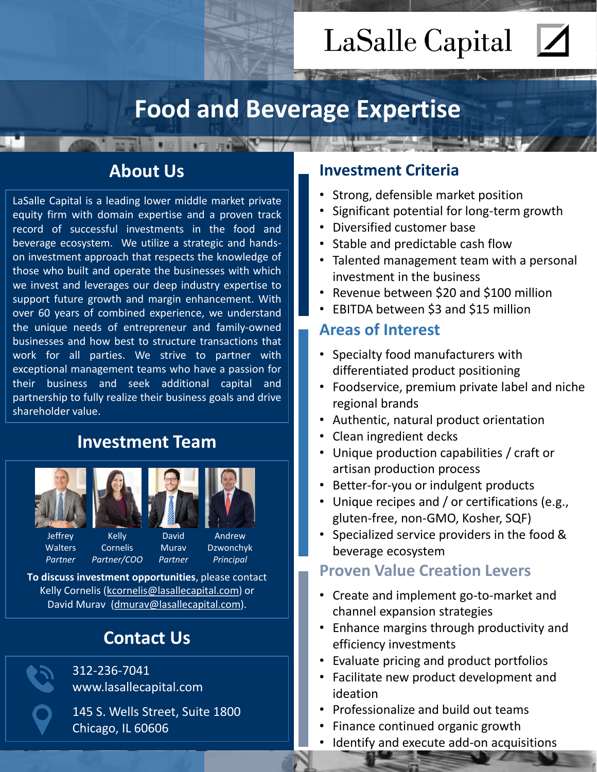# LaSalle Capital

## **Food and Beverage Expertise**

## **About Us**

**IT REAL** 

LaSalle Capital is a leading lower middle market private equity firm with domain expertise and a proven track record of successful investments in the food and beverage ecosystem. We utilize a strategic and handson investment approach that respects the knowledge of those who built and operate the businesses with which we invest and leverages our deep industry expertise to support future growth and margin enhancement. With over 60 years of combined experience, we understand the unique needs of entrepreneur and family-owned businesses and how best to structure transactions that work for all parties. We strive to partner with exceptional management teams who have a passion for their business and seek additional capital and partnership to fully realize their business goals and drive shareholder value.

## **Investment Team**



Jeffrey **Walters** *Partner* 



*Partner* 



Kelly Cornelis *Partner/COO* 

Dzwonchyk *Principal* 

**To discuss investment opportunities**, please contact Kelly Cornelis ([kcornelis@lasallecapital.com](mailto:kcornelis@lasallecapital.com)) or David Murav [\(dmurav@lasallecapital.com\)](mailto:dmurav@lasallecapital.com).

## **Contact Us**

312-236-7041 www.lasallecapital.com

145 S. Wells Street, Suite 1800 Chicago, IL 60606

### **Investment Criteria**

- Strong, defensible market position
- Significant potential for long-term growth
- Diversified customer base
- Stable and predictable cash flow
- Talented management team with a personal investment in the business
- Revenue between \$20 and \$100 million
- EBITDA between \$3 and \$15 million

### **Areas of Interest**

- Specialty food manufacturers with differentiated product positioning
- Foodservice, premium private label and niche regional brands
- Authentic, natural product orientation
- Clean ingredient decks
- Unique production capabilities / craft or artisan production process
- Better-for-you or indulgent products
- Unique recipes and / or certifications (e.g., gluten-free, non-GMO, Kosher, SQF)
- Specialized service providers in the food & beverage ecosystem

### **Proven Value Creation Levers**

- Create and implement go-to-market and channel expansion strategies
- Enhance margins through productivity and efficiency investments
- Evaluate pricing and product portfolios
- Facilitate new product development and ideation
- Professionalize and build out teams
- Finance continued organic growth
- Identify and execute add-on acquisitions